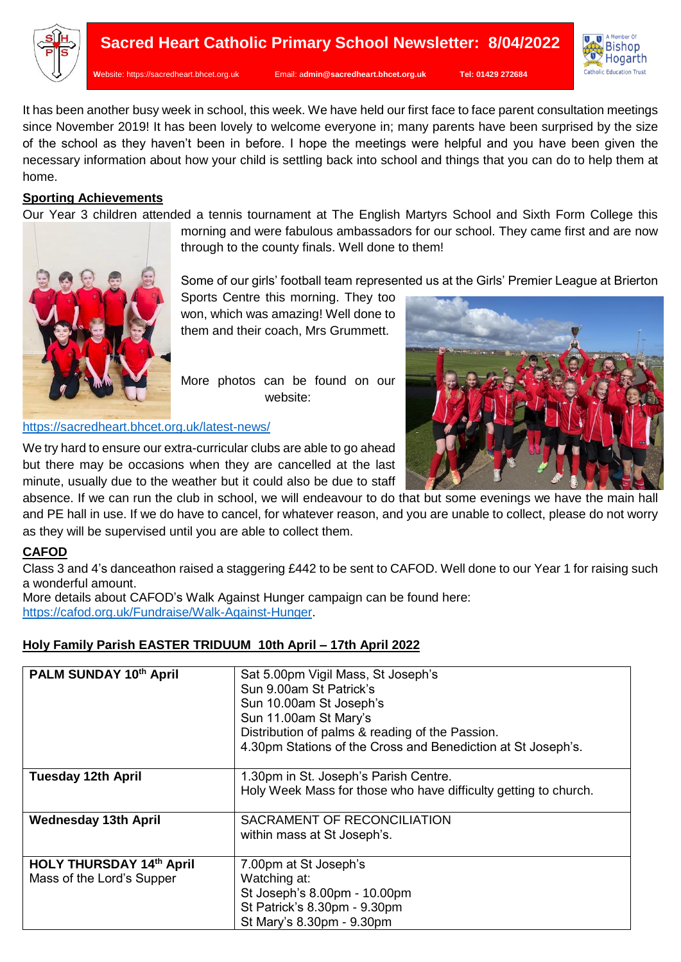

**W**ebsite: [https://sacredheart.bhcet.org.uk](https://sacredheart.bhcet.org.uk/) Email: a**[dmin@sacredheart.bhcet.org.uk](mailto:admin@sacredheart.bhcet.org.uk) Tel: 01429 272684**



It has been another busy week in school, this week. We have held our first face to face parent consultation meetings since November 2019! It has been lovely to welcome everyone in; many parents have been surprised by the size of the school as they haven't been in before. I hope the meetings were helpful and you have been given the necessary information about how your child is settling back into school and things that you can do to help them at home.

## **Sporting Achievements**

Our Year 3 children attended a tennis tournament at The English Martyrs School and Sixth Form College this



morning and were fabulous ambassadors for our school. They came first and are now through to the county finals. Well done to them!

Some of our girls' football team represented us at the Girls' Premier League at Brierton

Sports Centre this morning. They too won, which was amazing! Well done to them and their coach, Mrs Grummett.

More photos can be found on our website:

### <https://sacredheart.bhcet.org.uk/latest-news/>

We try hard to ensure our extra-curricular clubs are able to go ahead but there may be occasions when they are cancelled at the last minute, usually due to the weather but it could also be due to staff

absence. If we can run the club in school, we will endeavour to do that but some evenings we have the main hall and PE hall in use. If we do have to cancel, for whatever reason, and you are unable to collect, please do not worry as they will be supervised until you are able to collect them.

# **CAFOD**

Class 3 and 4's danceathon raised a staggering £442 to be sent to CAFOD. Well done to our Year 1 for raising such a wonderful amount.

More details about CAFOD's Walk Against Hunger campaign can be found here: [https://cafod.org.uk/Fundraise/Walk-Against-Hunger.](https://cafod.org.uk/Fundraise/Walk-Against-Hunger)

# **Holy Family Parish EASTER TRIDUUM 10th April – 17th April 2022**

| PALM SUNDAY 10th April                                       | Sat 5.00pm Vigil Mass, St Joseph's<br>Sun 9.00am St Patrick's<br>Sun 10.00am St Joseph's<br>Sun 11.00am St Mary's<br>Distribution of palms & reading of the Passion.<br>4.30pm Stations of the Cross and Benediction at St Joseph's. |
|--------------------------------------------------------------|--------------------------------------------------------------------------------------------------------------------------------------------------------------------------------------------------------------------------------------|
| <b>Tuesday 12th April</b>                                    | 1.30pm in St. Joseph's Parish Centre.<br>Holy Week Mass for those who have difficulty getting to church.                                                                                                                             |
| <b>Wednesday 13th April</b>                                  | SACRAMENT OF RECONCILIATION<br>within mass at St Joseph's.                                                                                                                                                                           |
| <b>HOLY THURSDAY 14th April</b><br>Mass of the Lord's Supper | 7.00pm at St Joseph's<br>Watching at:<br>St Joseph's 8.00pm - 10.00pm<br>St Patrick's 8.30pm - 9.30pm<br>St Mary's 8.30pm - 9.30pm                                                                                                   |

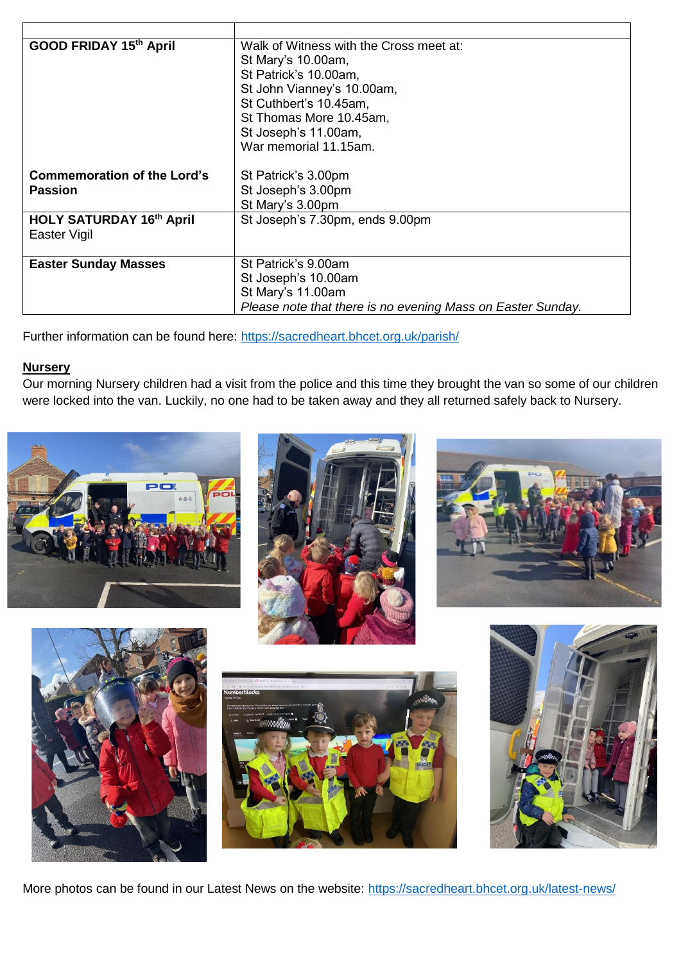| GOOD FRIDAY 15th April             | Walk of Witness with the Cross meet at:                     |
|------------------------------------|-------------------------------------------------------------|
|                                    | St Mary's 10.00am,                                          |
|                                    | St Patrick's 10.00am,                                       |
|                                    | St John Vianney's 10.00am,                                  |
|                                    | St Cuthbert's 10.45am,                                      |
|                                    | St Thomas More 10.45am,                                     |
|                                    | St Joseph's 11.00am,                                        |
|                                    | War memorial 11.15am.                                       |
|                                    |                                                             |
| <b>Commemoration of the Lord's</b> | St Patrick's 3.00pm                                         |
| <b>Passion</b>                     | St Joseph's 3.00pm                                          |
|                                    | St Mary's 3.00pm                                            |
| <b>HOLY SATURDAY 16th April</b>    | St Joseph's 7.30pm, ends 9.00pm                             |
| Easter Vigil                       |                                                             |
|                                    |                                                             |
| <b>Easter Sunday Masses</b>        | St Patrick's 9.00am                                         |
|                                    | St Joseph's 10.00am                                         |
|                                    | St Mary's 11.00am                                           |
|                                    | Please note that there is no evening Mass on Easter Sunday. |

Further information can be found here:<https://sacredheart.bhcet.org.uk/parish/>

## **Nursery**

Our morning Nursery children had a visit from the police and this time they brought the van so some of our children were locked into the van. Luckily, no one had to be taken away and they all returned safely back to Nursery.













More photos can be found in our Latest News on the website: https://sacredheart.bhcet.org.uk/latest-news/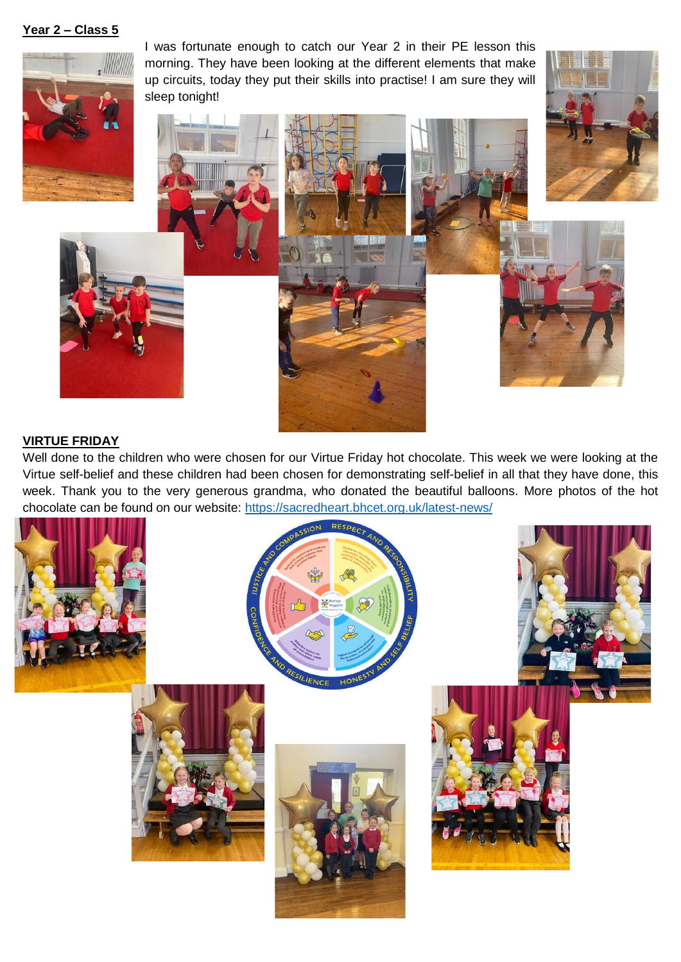**Year 2 – Class 5**



I was fortunate enough to catch our Year 2 in their PE lesson this morning. They have been looking at the different elements that make up circuits, today they put their skills into practise! I am sure they will sleep tonight!









# **VIRTUE FRIDAY**

Well done to the children who were chosen for our Virtue Friday hot chocolate. This week we were looking at the Virtue self-belief and these children had been chosen for demonstrating self-belief in all that they have done, this week. Thank you to the very generous grandma, who donated the beautiful balloons. More photos of the hot chocolate can be found on our website:<https://sacredheart.bhcet.org.uk/latest-news/>